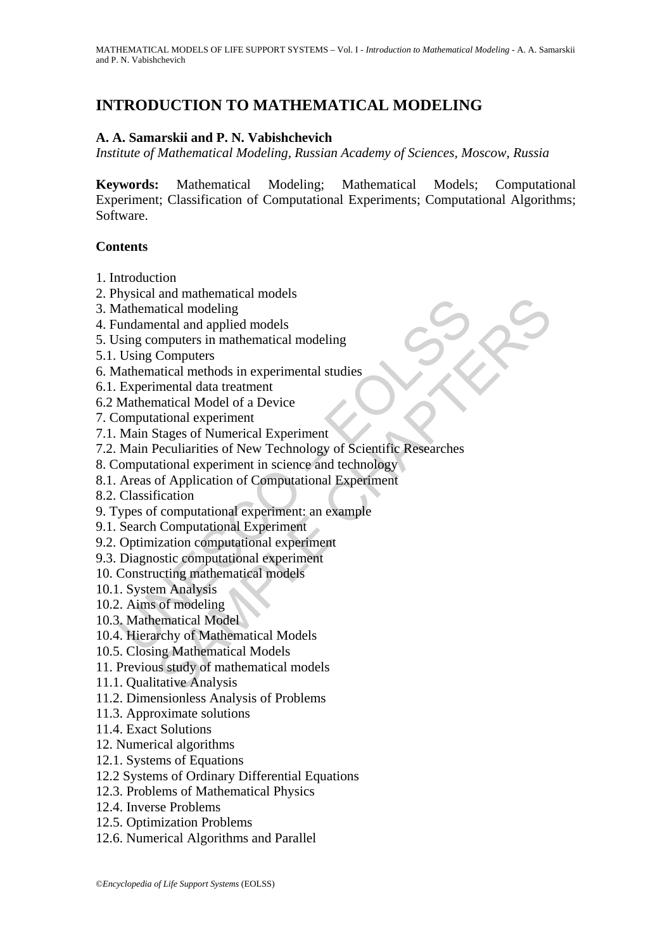# **INTRODUCTION TO MATHEMATICAL MODELING**

## **A. A. Samarskii and P. N. Vabishchevich**

*Institute of Mathematical Modeling, Russian Academy of Sciences, Moscow, Russia* 

**Keywords:** Mathematical Modeling; Mathematical Models; Computational Experiment; Classification of Computational Experiments; Computational Algorithms; Software.

#### **Contents**

- 1. Introduction
- 2. Physical and mathematical models
- 3. Mathematical modeling
- 4. Fundamental and applied models
- 5. Using computers in mathematical modeling
- 5.1. Using Computers
- 6. Mathematical methods in experimental studies
- 6.1. Experimental data treatment
- 6.2 Mathematical Model of a Device
- 7. Computational experiment
- 7.1. Main Stages of Numerical Experiment
- mondation mediatrical modeling<br>
anthematical modeling<br>
undamental and applied models<br>
Using Computers<br>
Using Computers<br>
Using Computers<br>
Using Computers<br>
Experimental atta treatment<br>
Experimental data treatment<br>
Mathematic and materialated modeling<br>attical modeling<br>ental and applied models<br>computers in mathematical modeling<br>attical Model of a Device<br>attical Methods in experimental studies<br>mental data treatment<br>attical deperiment<br>attical expe 7.2. Main Peculiarities of New Technology of Scientific Researches
- 8. Computational experiment in science and technology
- 8.1. Areas of Application of Computational Experiment
- 8.2. Classification
- 9. Types of computational experiment: an example
- 9.1. Search Computational Experiment
- 9.2. Optimization computational experiment
- 9.3. Diagnostic computational experiment
- 10. Constructing mathematical models
- 10.1. System Analysis
- 10.2. Aims of modeling
- 10.3. Mathematical Model
- 10.4. Hierarchy of Mathematical Models
- 10.5. Closing Mathematical Models
- 11. Previous study of mathematical models
- 11.1. Qualitative Analysis
- 11.2. Dimensionless Analysis of Problems
- 11.3. Approximate solutions
- 11.4. Exact Solutions
- 12. Numerical algorithms
- 12.1. Systems of Equations
- 12.2 Systems of Ordinary Differential Equations
- 12.3. Problems of Mathematical Physics
- 12.4. Inverse Problems
- 12.5. Optimization Problems
- 12.6. Numerical Algorithms and Parallel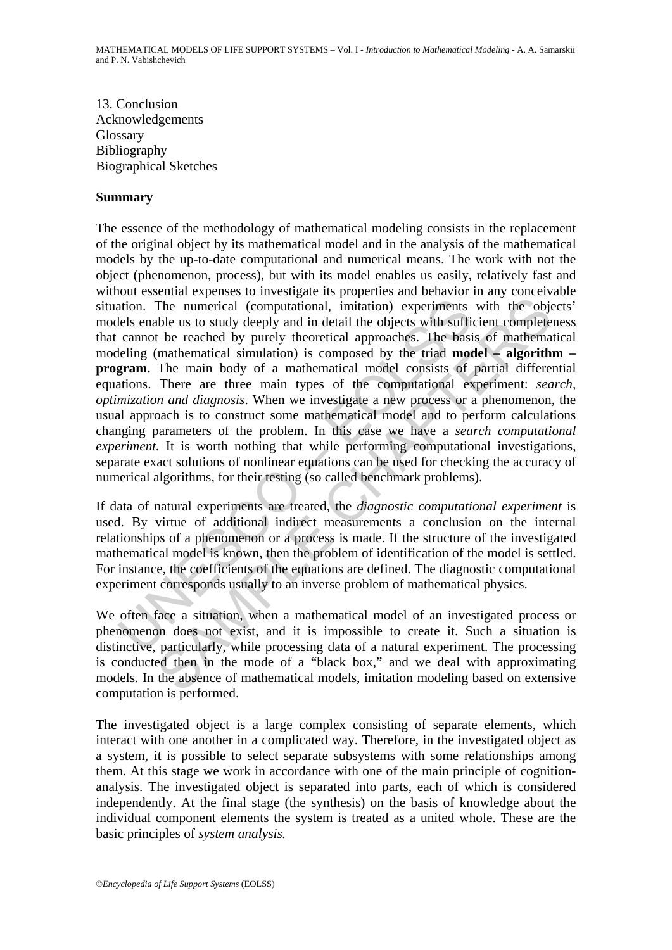13. Conclusion Acknowledgements Glossary Bibliography Biographical Sketches

#### **Summary**

ation. The numerical (computational, initation) experiments<br>lels enable us to study deeply and in detail the objects with suffic<br>cannot be reached by purely theoretical approaches. The basi<br>elling (mathematical simulation) The numerical (computational, imitation) experiments with the objects us to study deeply and in detail the objects with sufficient complete the reached by purely theoretical approaches. The basis of mathematical simulatio The essence of the methodology of mathematical modeling consists in the replacement of the original object by its mathematical model and in the analysis of the mathematical models by the up-to-date computational and numerical means. The work with not the object (phenomenon, process), but with its model enables us easily, relatively fast and without essential expenses to investigate its properties and behavior in any conceivable situation. The numerical (computational, imitation) experiments with the objects' models enable us to study deeply and in detail the objects with sufficient completeness that cannot be reached by purely theoretical approaches. The basis of mathematical modeling (mathematical simulation) is composed by the triad **model – algorithm – program.** The main body of a mathematical model consists of partial differential equations. There are three main types of the computational experiment: *search, optimization and diagnosis*. When we investigate a new process or a phenomenon, the usual approach is to construct some mathematical model and to perform calculations changing parameters of the problem. In this case we have a *search computational experiment.* It is worth nothing that while performing computational investigations, separate exact solutions of nonlinear equations can be used for checking the accuracy of numerical algorithms, for their testing (so called benchmark problems).

If data of natural experiments are treated, the *diagnostic computational experiment* is used. By virtue of additional indirect measurements a conclusion on the internal relationships of a phenomenon or a process is made. If the structure of the investigated mathematical model is known, then the problem of identification of the model is settled. For instance, the coefficients of the equations are defined. The diagnostic computational experiment corresponds usually to an inverse problem of mathematical physics.

We often face a situation, when a mathematical model of an investigated process or phenomenon does not exist, and it is impossible to create it. Such a situation is distinctive, particularly, while processing data of a natural experiment. The processing is conducted then in the mode of a "black box," and we deal with approximating models. In the absence of mathematical models, imitation modeling based on extensive computation is performed.

The investigated object is a large complex consisting of separate elements, which interact with one another in a complicated way. Therefore, in the investigated object as a system, it is possible to select separate subsystems with some relationships among them. At this stage we work in accordance with one of the main principle of cognitionanalysis. The investigated object is separated into parts, each of which is considered independently. At the final stage (the synthesis) on the basis of knowledge about the individual component elements the system is treated as a united whole. These are the basic principles of *system analysis.*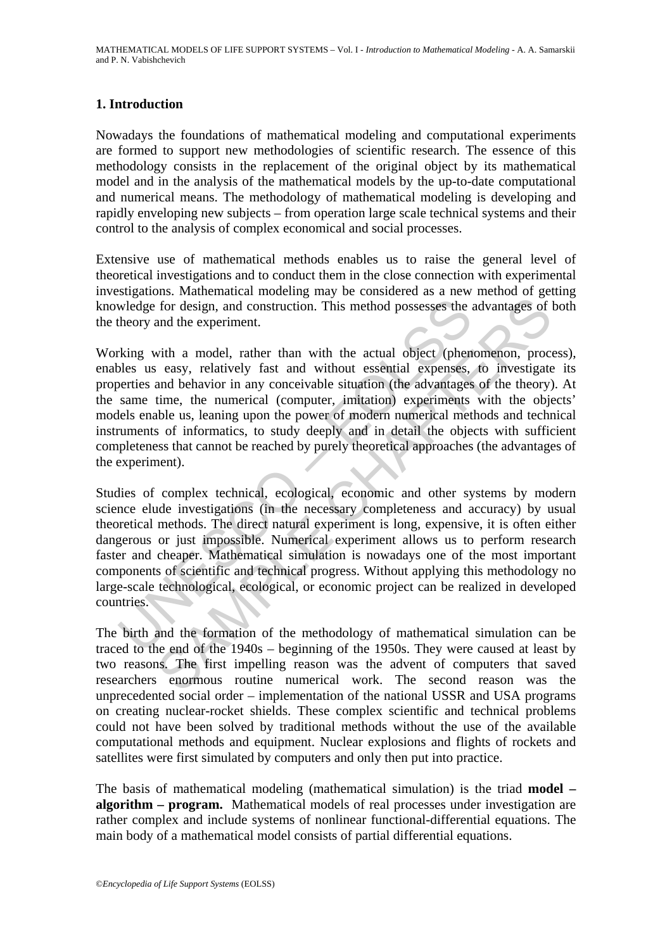## **1. Introduction**

Nowadays the foundations of mathematical modeling and computational experiments are formed to support new methodologies of scientific research. The essence of this methodology consists in the replacement of the original object by its mathematical model and in the analysis of the mathematical models by the up-to-date computational and numerical means. The methodology of mathematical modeling is developing and rapidly enveloping new subjects – from operation large scale technical systems and their control to the analysis of complex economical and social processes.

Extensive use of mathematical methods enables us to raise the general level of theoretical investigations and to conduct them in the close connection with experimental investigations. Mathematical modeling may be considered as a new method of getting knowledge for design, and construction. This method possesses the advantages of both the theory and the experiment.

Working with a model, rather than with the actual object (phenomenon, process), enables us easy, relatively fast and without essential expenses, to investigate its properties and behavior in any conceivable situation (the advantages of the theory). At the same time, the numerical (computer, imitation) experiments with the objects' models enable us, leaning upon the power of modern numerical methods and technical instruments of informatics, to study deeply and in detail the objects with sufficient completeness that cannot be reached by purely theoretical approaches (the advantages of the experiment).

wledge for design, and construction. This method possesses the theory and the experiment.<br>
theory and the experiment.<br>
theory and the experiment.<br>
theory and the experiment.<br>
the actual object (phen<br>
se us easy, relatively for design, and construction. This method possesses the advantages of<br>for design, and construction. This method possesses the advantages of<br>and the experiment.<br>with a model, rather than with the actual object (phenomenon, Studies of complex technical, ecological, economic and other systems by modern science elude investigations (in the necessary completeness and accuracy) by usual theoretical methods. The direct natural experiment is long, expensive, it is often either dangerous or just impossible. Numerical experiment allows us to perform research faster and cheaper. Mathematical simulation is nowadays one of the most important components of scientific and technical progress. Without applying this methodology no large-scale technological, ecological, or economic project can be realized in developed countries.

The birth and the formation of the methodology of mathematical simulation can be traced to the end of the 1940s – beginning of the 1950s. They were caused at least by two reasons. The first impelling reason was the advent of computers that saved researchers enormous routine numerical work. The second reason was the unprecedented social order – implementation of the national USSR and USA programs on creating nuclear-rocket shields. These complex scientific and technical problems could not have been solved by traditional methods without the use of the available computational methods and equipment. Nuclear explosions and flights of rockets and satellites were first simulated by computers and only then put into practice.

The basis of mathematical modeling (mathematical simulation) is the triad **model – algorithm – program.** Mathematical models of real processes under investigation are rather complex and include systems of nonlinear functional-differential equations. The main body of a mathematical model consists of partial differential equations.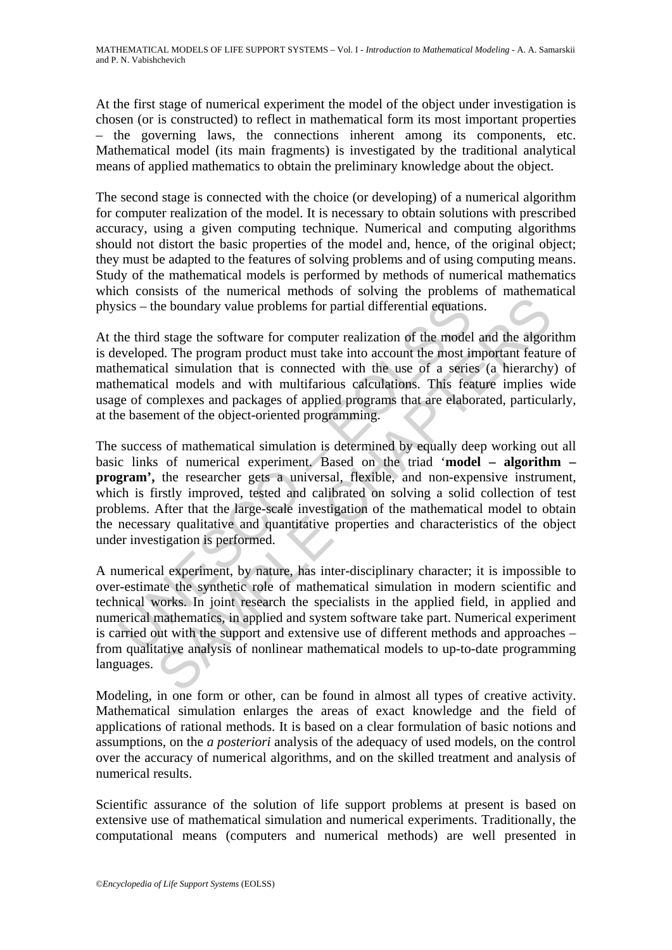At the first stage of numerical experiment the model of the object under investigation is chosen (or is constructed) to reflect in mathematical form its most important properties – the governing laws, the connections inherent among its components, etc. Mathematical model (its main fragments) is investigated by the traditional analytical means of applied mathematics to obtain the preliminary knowledge about the object.

The second stage is connected with the choice (or developing) of a numerical algorithm for computer realization of the model. It is necessary to obtain solutions with prescribed accuracy, using a given computing technique. Numerical and computing algorithms should not distort the basic properties of the model and, hence, of the original object; they must be adapted to the features of solving problems and of using computing means. Study of the mathematical models is performed by methods of numerical mathematics which consists of the numerical methods of solving the problems of mathematical physics – the boundary value problems for partial differential equations.

At the third stage the software for computer realization of the model and the algorithm is developed. The program product must take into account the most important feature of mathematical simulation that is connected with the use of a series (a hierarchy) of mathematical models and with multifarious calculations. This feature implies wide usage of complexes and packages of applied programs that are elaborated, particularly, at the basement of the object-oriented programming.

sics – the boundary value problems for partial differential equation<br>the third stage the software for computer realization of the model<br>eveloped. The program product must take into account the most in<br>thermatical simulatio the boundary value problems for partial differential equations.<br>
In tage the software for computer realization of the model and the algoridation and the state throughout must take into account the most important feature an The success of mathematical simulation is determined by equally deep working out all basic links of numerical experiment. Based on the triad '**model – algorithm – program',** the researcher gets a universal, flexible, and non-expensive instrument, which is firstly improved, tested and calibrated on solving a solid collection of test problems. After that the large-scale investigation of the mathematical model to obtain the necessary qualitative and quantitative properties and characteristics of the object under investigation is performed.

A numerical experiment, by nature, has inter-disciplinary character; it is impossible to over-estimate the synthetic role of mathematical simulation in modern scientific and technical works. In joint research the specialists in the applied field, in applied and numerical mathematics, in applied and system software take part. Numerical experiment is carried out with the support and extensive use of different methods and approaches – from qualitative analysis of nonlinear mathematical models to up-to-date programming languages.

Modeling, in one form or other, can be found in almost all types of creative activity. Mathematical simulation enlarges the areas of exact knowledge and the field of applications of rational methods. It is based on a clear formulation of basic notions and assumptions, on the *a posteriori* analysis of the adequacy of used models, on the control over the accuracy of numerical algorithms, and on the skilled treatment and analysis of numerical results.

Scientific assurance of the solution of life support problems at present is based on extensive use of mathematical simulation and numerical experiments. Traditionally, the computational means (computers and numerical methods) are well presented in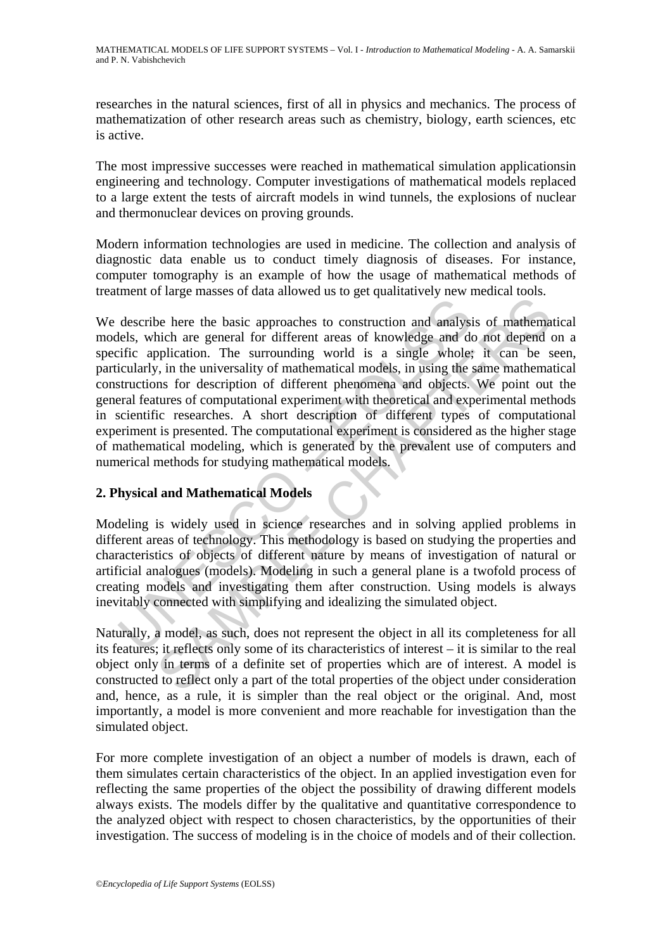researches in the natural sciences, first of all in physics and mechanics. The process of mathematization of other research areas such as chemistry, biology, earth sciences, etc is active.

The most impressive successes were reached in mathematical simulation applicationsin engineering and technology. Computer investigations of mathematical models replaced to a large extent the tests of aircraft models in wind tunnels, the explosions of nuclear and thermonuclear devices on proving grounds.

Modern information technologies are used in medicine. The collection and analysis of diagnostic data enable us to conduct timely diagnosis of diseases. For instance, computer tomography is an example of how the usage of mathematical methods of treatment of large masses of data allowed us to get qualitatively new medical tools.

describe here the basic approaches to construction and analysieles, which are general for different areas of knowledge and deficic application. The surrounding world is a single whole: icularly, in the universality of math For the basic approaches to construction and analysis of mathematical<br>inchiend the general for different areas of knowledge and do not depend<br>oplication. The surrounding world is a single whole; it can be solved<br>interest o We describe here the basic approaches to construction and analysis of mathematical models, which are general for different areas of knowledge and do not depend on a specific application. The surrounding world is a single whole; it can be seen, particularly, in the universality of mathematical models, in using the same mathematical constructions for description of different phenomena and objects. We point out the general features of computational experiment with theoretical and experimental methods in scientific researches. A short description of different types of computational experiment is presented. The computational experiment is considered as the higher stage of mathematical modeling, which is generated by the prevalent use of computers and numerical methods for studying mathematical models.

# **2. Physical and Mathematical Models**

Modeling is widely used in science researches and in solving applied problems in different areas of technology. This methodology is based on studying the properties and characteristics of objects of different nature by means of investigation of natural or artificial analogues (models). Modeling in such a general plane is a twofold process of creating models and investigating them after construction. Using models is always inevitably connected with simplifying and idealizing the simulated object.

Naturally, a model, as such, does not represent the object in all its completeness for all its features; it reflects only some of its characteristics of interest – it is similar to the real object only in terms of a definite set of properties which are of interest. A model is constructed to reflect only a part of the total properties of the object under consideration and, hence, as a rule, it is simpler than the real object or the original. And, most importantly, a model is more convenient and more reachable for investigation than the simulated object.

For more complete investigation of an object a number of models is drawn, each of them simulates certain characteristics of the object. In an applied investigation even for reflecting the same properties of the object the possibility of drawing different models always exists. The models differ by the qualitative and quantitative correspondence to the analyzed object with respect to chosen characteristics, by the opportunities of their investigation. The success of modeling is in the choice of models and of their collection.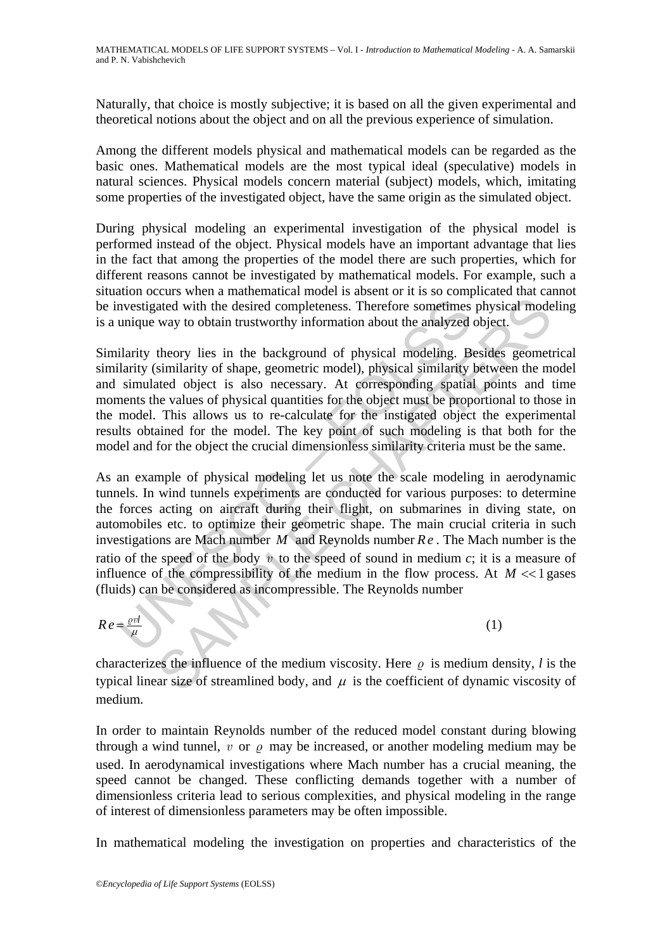Naturally, that choice is mostly subjective; it is based on all the given experimental and theoretical notions about the object and on all the previous experience of simulation.

Among the different models physical and mathematical models can be regarded as the basic ones. Mathematical models are the most typical ideal (speculative) models in natural sciences. Physical models concern material (subject) models, which, imitating some properties of the investigated object, have the same origin as the simulated object.

During physical modeling an experimental investigation of the physical model is performed instead of the object. Physical models have an important advantage that lies in the fact that among the properties of the model there are such properties, which for different reasons cannot be investigated by mathematical models. For example, such a situation occurs when a mathematical model is absent or it is so complicated that cannot be investigated with the desired completeness. Therefore sometimes physical modeling is a unique way to obtain trustworthy information about the analyzed object.

Similarity theory lies in the background of physical modeling. Besides geometrical similarity (similarity of shape, geometric model), physical similarity between the model and simulated object is also necessary. At corresponding spatial points and time moments the values of physical quantities for the object must be proportional to those in the model. This allows us to re-calculate for the instigated object the experimental results obtained for the model. The key point of such modeling is that both for the model and for the object the crucial dimensionless similarity criteria must be the same.

nvestigated with the desired completeness. Therefore sometimes<br>unique way to obtain trustworthy information about the analyzed<br>ilarity theory lies in the background of physical modeling. B<br>ilarity (similarity of shape, ge and with the desired completeness. Therefore somethines physical mode way to obtain trustworthy information about the analyzed object.<br>
theory lies in the background of physical modeling. Besides geometismilarity of shape As an example of physical modeling let us note the scale modeling in aerodynamic tunnels. In wind tunnels experiments are conducted for various purposes: to determine the forces acting on aircraft during their flight, on submarines in diving state, on automobiles etc. to optimize their geometric shape. The main crucial criteria in such investigations are Mach number *M* and Reynolds number *Re* . The Mach number is the ratio of the speed of the body *v* to the speed of sound in medium *c*; it is a measure of influence of the compressibility of the medium in the flow process. At  $M \ll 1$  gases (fluids) can be considered as incompressible. The Reynolds number

$$
Re = \frac{\varrho v l}{\mu} \tag{1}
$$

characterizes the influence of the medium viscosity. Here  $\rho$  is medium density, *l* is the typical linear size of streamlined body, and  $\mu$  is the coefficient of dynamic viscosity of medium.

In order to maintain Reynolds number of the reduced model constant during blowing through a wind tunnel,  $v$  or  $\rho$  may be increased, or another modeling medium may be used. In aerodynamical investigations where Mach number has a crucial meaning, the speed cannot be changed. These conflicting demands together with a number of dimensionless criteria lead to serious complexities, and physical modeling in the range of interest of dimensionless parameters may be often impossible.

In mathematical modeling the investigation on properties and characteristics of the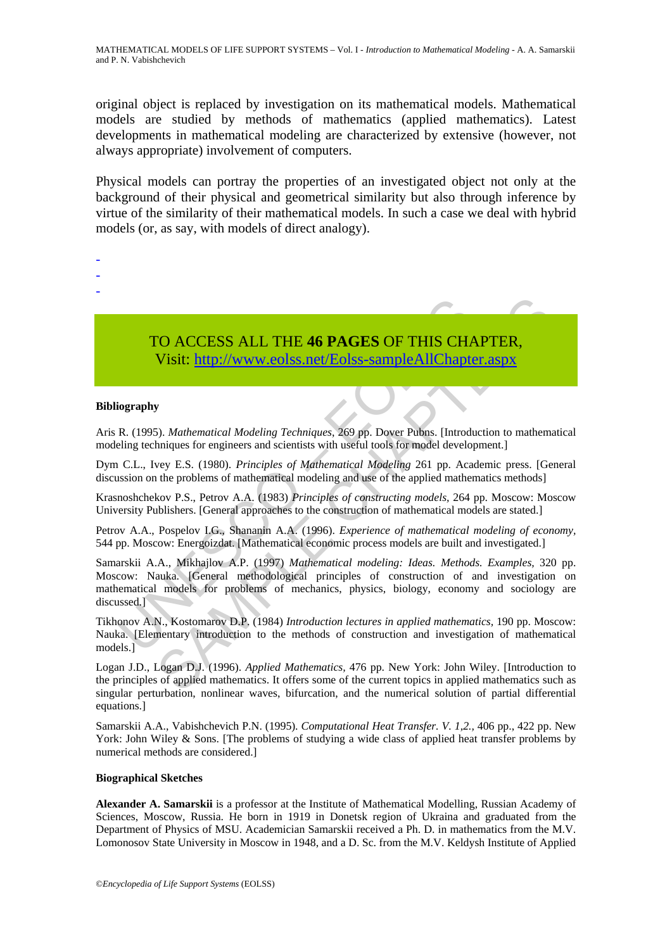original object is replaced by investigation on its mathematical models. Mathematical models are studied by methods of mathematics (applied mathematics). Latest developments in mathematical modeling are characterized by extensive (however, not always appropriate) involvement of computers.

Physical models can portray the properties of an investigated object not only at the background of their physical and geometrical similarity but also through inference by virtue of the similarity of their mathematical models. In such a case we deal with hybrid models (or, as say, with models of direct analogy).

- -
- -

TO ACCESS ALL THE **46 PAGES** OF THIS CHAPTER, Visit: http://www.eolss.net/Eolss-sampleAllChapter.aspx

#### **Bibliography**

Aris R. (1995). *Mathematical Modeling Techniques*, 269 pp. Dover Pubns. [Introduction to mathematical modeling techniques for engineers and scientists with useful tools for model development.]

Dym C.L., Ivey E.S. (1980). *Principles of Mathematical Modeling* 261 pp. Academic press. [General discussion on the problems of mathematical modeling and use of the applied mathematics methods]

Krasnoshchekov P.S., Petrov A.A. (1983) *Principles of constructing models,* 264 pp. Moscow: Moscow University Publishers. [General approaches to the construction of mathematical models are stated.]

Petrov A.A., Pospelov I.G., Shananin A.A. (1996). *Experience of mathematical modeling of economy,*  544 pp. Moscow: Energoizdat. [Mathematical economic process models are built and investigated.]

TO ACCESS ALL THE 46 PAGES OF THIS CHA<br>Visit: http://www.eolss.net/Eolss-sampleAllChapte<br>ography<br>R. (1995). *Mathematical Modeling Techniques*, 269 pp. Dover Pubns. [Introd<br>icling techniques for engineers and scientists wi CO ACCESS ALL THE 46 PAGES OF THIS CHAPTER,<br>
Visit: http://www.eolss.net/Eolss-sampleAllChapter.aspx<br>
Sp. Mathematical Modeling Techniques, 269 pp. Dover Pubns. [Introduction to mathemating<br>
spectrum and the modeling of Ma Samarskii A.A., Mikhajlov A.P. (1997) *Mathematical modeling: Ideas. Methods. Examples,* 320 pp. Moscow: Nauka. [General methodological principles of construction of and investigation on mathematical models for problems of mechanics, physics, biology, economy and sociology are discussed.]

Tikhonov A.N., Kostomarov D.P. (1984) *Introduction lectures in applied mathematics,* 190 pp. Moscow: Nauka. [Elementary introduction to the methods of construction and investigation of mathematical models.]

Logan J.D., Logan D.J. (1996). *Applied Mathematics,* 476 pp. New York: John Wiley. [Introduction to the principles of applied mathematics. It offers some of the current topics in applied mathematics such as singular perturbation, nonlinear waves, bifurcation, and the numerical solution of partial differential equations.]

Samarskii A.A., Vabishchevich P.N. (1995). *Computational Heat Transfer. V. 1,2.,* 406 pp., 422 pp. New York: John Wiley & Sons. [The problems of studying a wide class of applied heat transfer problems by numerical methods are considered.]

#### **Biographical Sketches**

**Alexander A. Samarskii** is a professor at the Institute of Mathematical Modelling, Russian Academy of Sciences, Moscow, Russia. He born in 1919 in Donetsk region of Ukraina and graduated from the Department of Physics of MSU. Academician Samarskii received a Ph. D. in mathematics from the M.V. Lomonosov State University in Moscow in 1948, and a D. Sc. from the M.V. Keldysh Institute of Applied